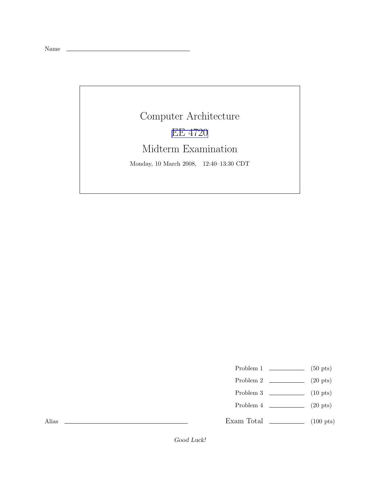Name

Computer Architecture EE [4720](http://www.ece.lsu.edu/ee4720/) Midterm Examination Monday, 10 March 2008, 12:40–13:30 CDT

- Problem 1  $\qquad \qquad$  (50 pts)
- Problem 2  $\qquad \qquad$  (20 pts)
- Problem 3  $\qquad \qquad$  (10 pts)
- Problem 4  $\qquad \qquad (20 \text{ pts})$
- Exam Total  $\qquad \qquad$  (100 pts)

Alias

Good Luck!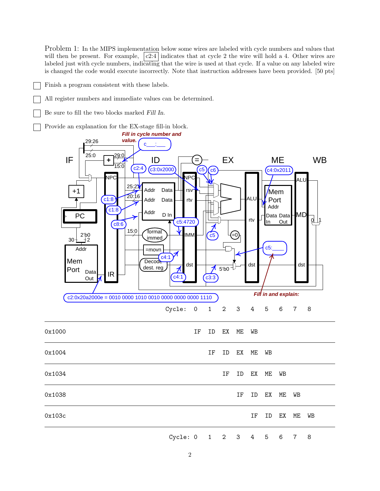Problem 1: In the MIPS implementation below some wires are labeled with cycle numbers and values that will then be present. For example,  $|c2:4|$  indicates that at cycle 2 the wire will hold a 4. Other wires are labeled just with cycle numbers, indicating that the wire is used at that cycle. If a value on any labeled wire is changed the code would execute incorrectly. Note that instruction addresses have been provided. [50 pts]

- Finish a program consistent with these labels.
	- All register numbers and immediate values can be determined.
- Be sure to fill the two blocks marked Fill In.
- Provide an explanation for the EX-stage fill-in block.

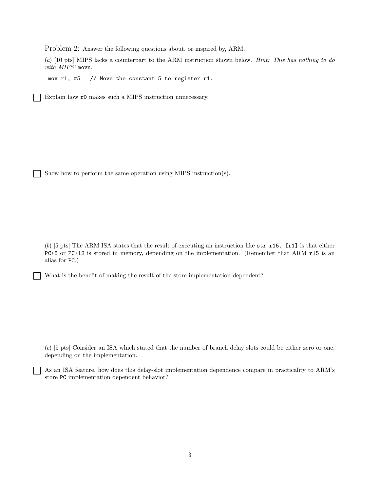Problem 2: Answer the following questions about, or inspired by, ARM.

(a) [10 pts] MIPS lacks a counterpart to the ARM instruction shown below. Hint: This has nothing to do with MIPS' movn.

mov r1, #5 // Move the constant 5 to register r1.

Explain how r0 makes such a MIPS instruction unnecessary.

Show how to perform the same operation using MIPS instruction(s).

(b) [5 pts] The ARM ISA states that the result of executing an instruction like  $str r15$ ,  $[r1]$  is that either PC+8 or PC+12 is stored in memory, depending on the implementation. (Remember that ARM r15 is an alias for PC.)

What is the benefit of making the result of the store implementation dependent?

(c) [5 pts] Consider an ISA which stated that the number of branch delay slots could be either zero or one, depending on the implementation.

As an ISA feature, how does this delay-slot implementation dependence compare in practicality to ARM's store PC implementation dependent behavior?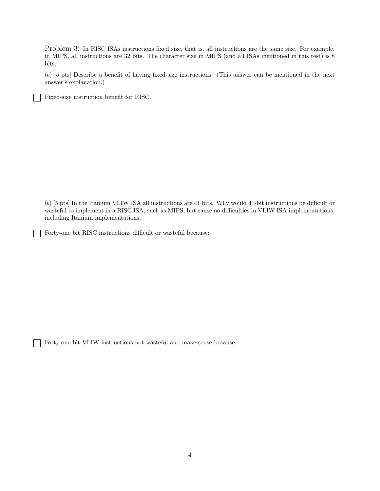Problem 3: In RISC ISAs instructions fixed size, that is, all instructions are the same size. For example, in MIPS, all instructions are 32 bits. The character size in MIPS (and all ISAs mentioned in this test) is 8 bits.

(a) [5 pts] Describe a benefit of having fixed-size instructions. (This answer can be mentioned in the next answer's explanation.)

Fixed-size instruction benefit for RISC.

(b) [5 pts] In the Itanium VLIW ISA all instructions are 41 bits. Why would 41-bit instructions be difficult or wasteful to implement in a RISC ISA, such as MIPS, but cause no difficulties in VLIW ISA implementations, including Itanium implementations.

Forty-one bit RISC instructions difficult or wasteful because:

Forty-one bit VLIW instructions not wasteful and make sense because:

 $\mathbf{I}$